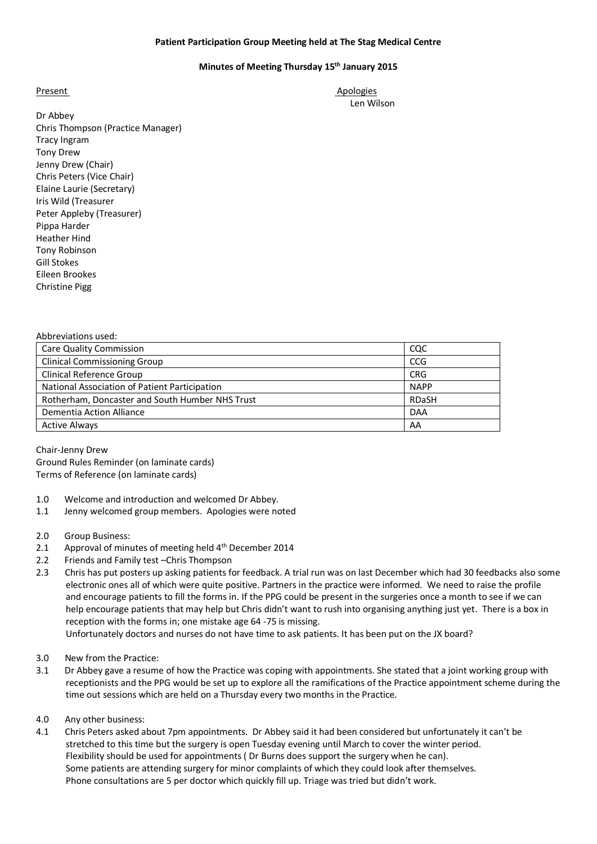## **Patient Participation Group Meeting held at The Stag Medical Centre**

## **Minutes of Meeting Thursday 15 th January 2015**

Present Apologies Apologies

Len Wilson

Dr Abbey Chris Thompson (Practice Manager) Tracy Ingram Tony Drew Jenny Drew (Chair) Chris Peters (Vice Chair) Elaine Laurie (Secretary) Iris Wild (Treasurer Peter Appleby (Treasurer) Pippa Harder Heather Hind Tony Robinson Gill Stokes Eileen Brookes Christine Pigg

| Abbreviations used:                             |              |
|-------------------------------------------------|--------------|
| <b>Care Quality Commission</b>                  | CQC          |
| <b>Clinical Commissioning Group</b>             | <b>CCG</b>   |
| <b>Clinical Reference Group</b>                 | <b>CRG</b>   |
| National Association of Patient Participation   | <b>NAPP</b>  |
| Rotherham, Doncaster and South Humber NHS Trust | <b>RDaSH</b> |
| Dementia Action Alliance                        | <b>DAA</b>   |
| <b>Active Always</b>                            | AA           |

Chair-Jenny Drew Ground Rules Reminder (on laminate cards) Terms of Reference (on laminate cards)

- 1.0 Welcome and introduction and welcomed Dr Abbey.
- 1.1 Jenny welcomed group members. Apologies were noted
- 2.0 Group Business:
- 2.1 Approval of minutes of meeting held 4<sup>th</sup> December 2014
- 2.2 Friends and Family test –Chris Thompson
- 2.3 Chris has put posters up asking patients for feedback. A trial run was on last December which had 30 feedbacks also some electronic ones all of which were quite positive. Partners in the practice were informed. We need to raise the profile and encourage patients to fill the forms in. If the PPG could be present in the surgeries once a month to see if we can help encourage patients that may help but Chris didn't want to rush into organising anything just yet. There is a box in reception with the forms in; one mistake age 64 -75 is missing.

Unfortunately doctors and nurses do not have time to ask patients. It has been put on the JX board?

- 3.0 New from the Practice:
- 3.1 Dr Abbey gave a resume of how the Practice was coping with appointments. She stated that a joint working group with receptionists and the PPG would be set up to explore all the ramifications of the Practice appointment scheme during the time out sessions which are held on a Thursday every two months in the Practice.
- 4.0 Any other business:
- 4.1 Chris Peters asked about 7pm appointments. Dr Abbey said it had been considered but unfortunately it can't be stretched to this time but the surgery is open Tuesday evening until March to cover the winter period. Flexibility should be used for appointments ( Dr Burns does support the surgery when he can). Some patients are attending surgery for minor complaints of which they could look after themselves. Phone consultations are 5 per doctor which quickly fill up. Triage was tried but didn't work.